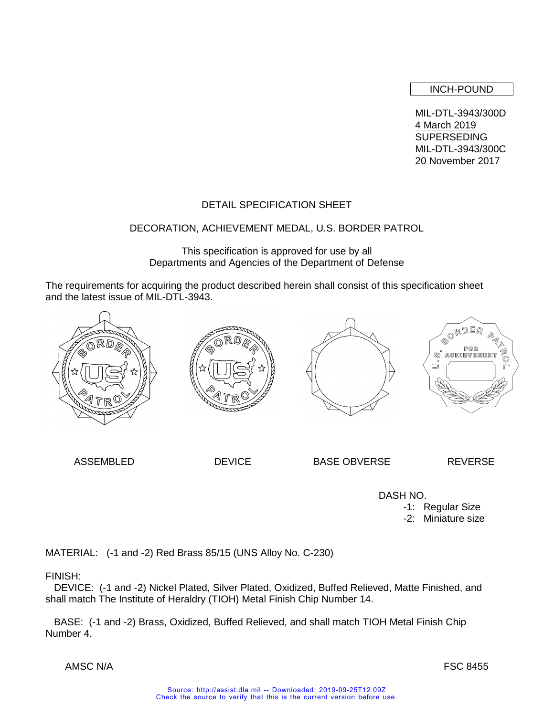INCH-POUND

MIL-DTL-3943/300D 4 March 2019 SUPERSEDING MIL-DTL-3943/300C 20 November 2017

# DETAIL SPECIFICATION SHEET

## DECORATION, ACHIEVEMENT MEDAL, U.S. BORDER PATROL

This specification is approved for use by all Departments and Agencies of the Department of Defense

The requirements for acquiring the product described herein shall consist of this specification sheet and the latest issue of MIL-DTL-3943.



ASSEMBLED DEVICE BASE OBVERSE REVERSE

 DASH NO. -1: Regular Size -2: Miniature size

MATERIAL: (-1 and -2) Red Brass 85/15 (UNS Alloy No. C-230)

## FINISH:

 DEVICE: (-1 and -2) Nickel Plated, Silver Plated, Oxidized, Buffed Relieved, Matte Finished, and shall match The Institute of Heraldry (TIOH) Metal Finish Chip Number 14.

 BASE: (-1 and -2) Brass, Oxidized, Buffed Relieved, and shall match TIOH Metal Finish Chip Number 4.

AMSC N/A FSC 8455

Source: http://assist.dla.mil -- Downloaded: 2019-09-25T12:09Z Check the source to verify that this is the current version before use.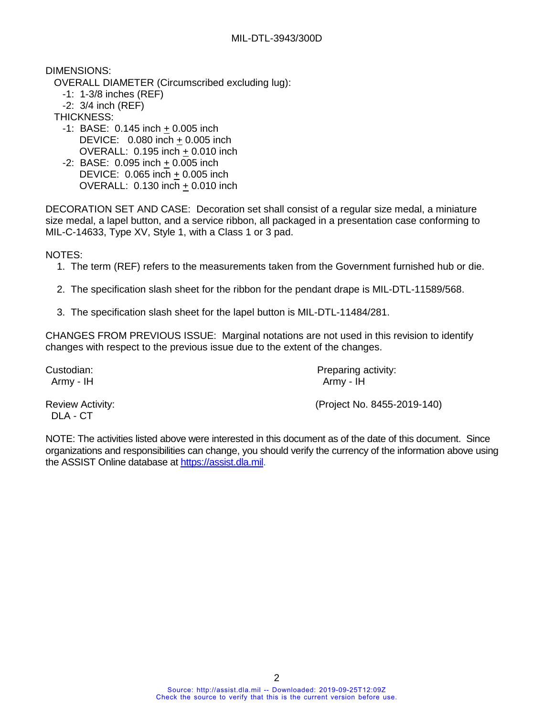DIMENSIONS:

- OVERALL DIAMETER (Circumscribed excluding lug):
	- -1: 1-3/8 inches (REF)
	- -2: 3/4 inch (REF)

THICKNESS:

- $-1$ : BASE: 0.145 inch  $+$  0.005 inch DEVICE: 0.080 inch + 0.005 inch OVERALL: 0.195 inch + 0.010 inch
- -2: BASE: 0.095 inch + 0.005 inch DEVICE: 0.065 inch + 0.005 inch OVERALL: 0.130 inch + 0.010 inch

DECORATION SET AND CASE: Decoration set shall consist of a regular size medal, a miniature size medal, a lapel button, and a service ribbon, all packaged in a presentation case conforming to MIL-C-14633, Type XV, Style 1, with a Class 1 or 3 pad.

NOTES:

- 1. The term (REF) refers to the measurements taken from the Government furnished hub or die.
- 2. The specification slash sheet for the ribbon for the pendant drape is MIL-DTL-11589/568.
- 3. The specification slash sheet for the lapel button is MIL-DTL-11484/281.

CHANGES FROM PREVIOUS ISSUE: Marginal notations are not used in this revision to identify changes with respect to the previous issue due to the extent of the changes.

Custodian: **Preparing activity:** Preparing activity: Army - IH Army - IH

DLA - CT

Review Activity: (Project No. 8455-2019-140)

NOTE: The activities listed above were interested in this document as of the date of this document. Since organizations and responsibilities can change, you should verify the currency of the information above using the ASSIST Online database at [https://assist.dla.mil.](https://assist.dla.mil/)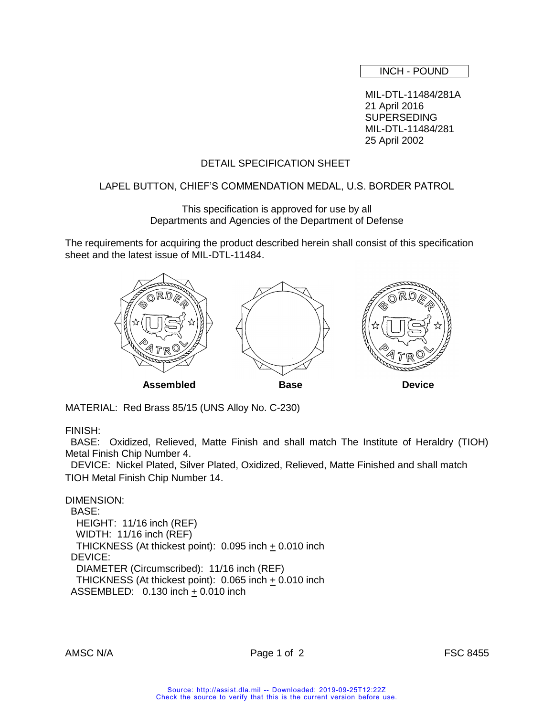INCH - POUND

MIL-DTL-11484/281A 21 April 2016 SUPERSEDING MIL-DTL-11484/281 25 April 2002

## DETAIL SPECIFICATION SHEET

## LAPEL BUTTON, CHIEF'S COMMENDATION MEDAL, U.S. BORDER PATROL

This specification is approved for use by all Departments and Agencies of the Department of Defense

The requirements for acquiring the product described herein shall consist of this specification sheet and the latest issue of MIL-DTL-11484.



MATERIAL: Red Brass 85/15 (UNS Alloy No. C-230)

FINISH:

 BASE: Oxidized, Relieved, Matte Finish and shall match The Institute of Heraldry (TIOH) Metal Finish Chip Number 4.

 DEVICE: Nickel Plated, Silver Plated, Oxidized, Relieved, Matte Finished and shall match TIOH Metal Finish Chip Number 14.

DIMENSION: BASE: HEIGHT: 11/16 inch (REF) WIDTH: 11/16 inch (REF) THICKNESS (At thickest point): 0.095 inch + 0.010 inch DEVICE: DIAMETER (Circumscribed): 11/16 inch (REF) THICKNESS (At thickest point):  $0.065$  inch  $\pm$  0.010 inch ASSEMBLED:  $0.130$  inch  $\pm$  0.010 inch

AMSC N/A Page 1 of 2 FSC 8455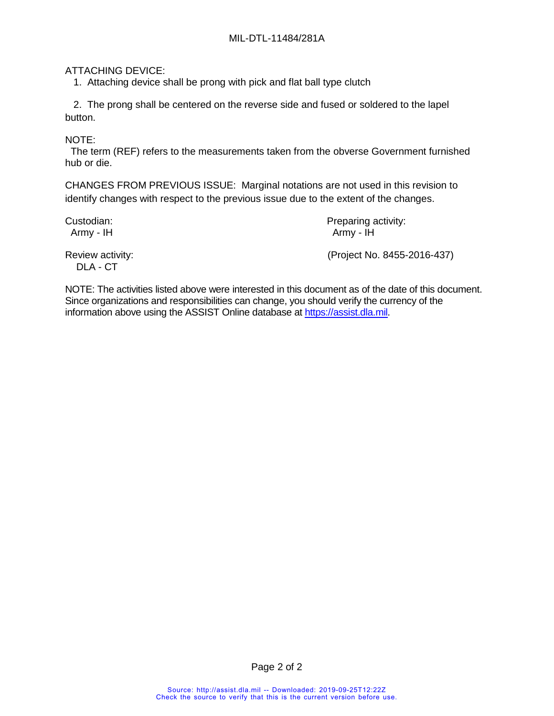# ATTACHING DEVICE:

1. Attaching device shall be prong with pick and flat ball type clutch

 2. The prong shall be centered on the reverse side and fused or soldered to the lapel button.

NOTE:

 The term (REF) refers to the measurements taken from the obverse Government furnished hub or die.

CHANGES FROM PREVIOUS ISSUE: Marginal notations are not used in this revision to identify changes with respect to the previous issue due to the extent of the changes.

Custodian: Custodian: Preparing activity: Army - IH Army - IH

DLA - CT

Review activity: (Project No. 8455-2016-437)

NOTE: The activities listed above were interested in this document as of the date of this document. Since organizations and responsibilities can change, you should verify the currency of the information above using the ASSIST Online database at [https://assist.dla.mil.](https://assist.dla.mil/)